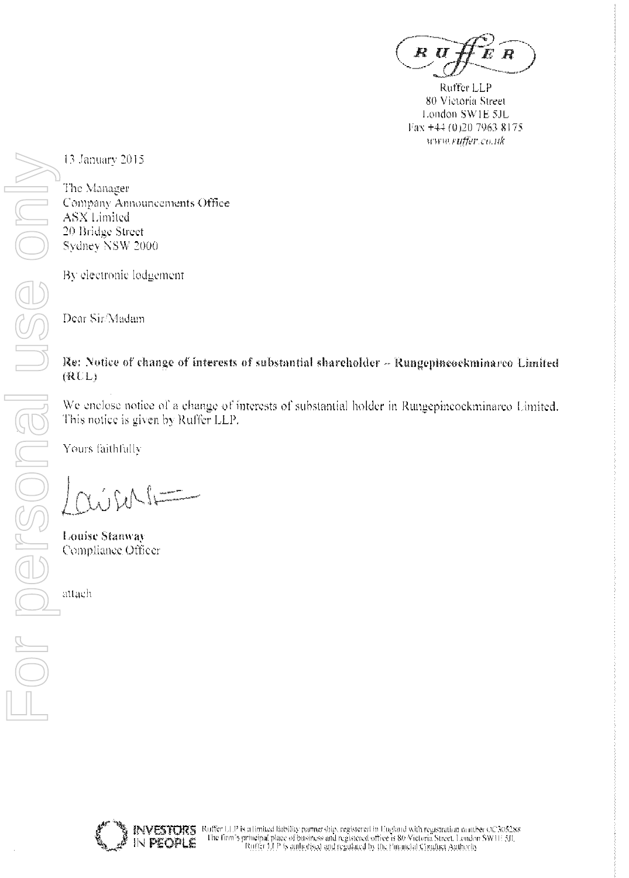R D R

Ruffer LLP 80 Victoria Street London SW1E 5JL Fax +44 (0)20 7963 8175 www.ruffer.co.uk

13 January 2015

The Manager Company Announcements Office ASX Limited 20 Bridge Street Sydney NSW 2000

By electronic lodgement

Dear Sir/Madam

# Re: Notice of change of interests of substantial shareholder - Rungepincockminarco Limited  $(RUL)$

We enclose notice of a change of interests of substantial holder in Rungepincockminarco Umited. This notice is given by Ruffer LLP.

Yours faithfully

**Louise Stanway** Compliance Officer

attach

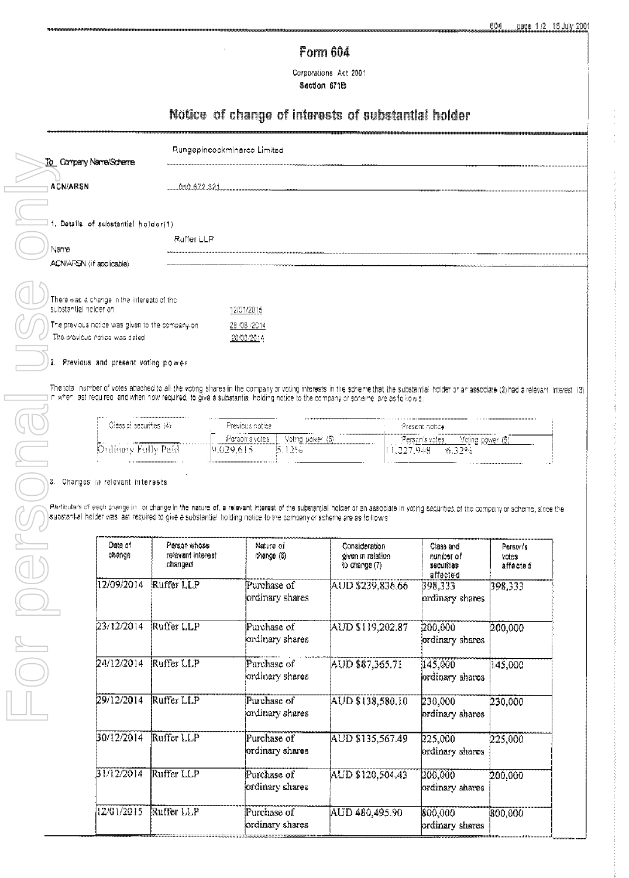# Form 604

Corporations Act 2001 Section 671B

# Notice of change of interests of substantial holder

ordinary shares

ordinary shares

ordinary shares

ordinary shares

225,000

200,000

800,000

AUD \$135,567.49

AUD \$120,504.43

AUD 480,495.90

225,000

200.000

800,000

| To Company Name/Scheme                                                                                                                                                                                                                                                                                    |                              |                                    |                  |                                    |                                  |                         |                                  |
|-----------------------------------------------------------------------------------------------------------------------------------------------------------------------------------------------------------------------------------------------------------------------------------------------------------|------------------------------|------------------------------------|------------------|------------------------------------|----------------------------------|-------------------------|----------------------------------|
| <b>ACN/ARSN</b>                                                                                                                                                                                                                                                                                           | 010 872 321                  |                                    |                  |                                    |                                  |                         |                                  |
| 1. Details of substantial holder(1)                                                                                                                                                                                                                                                                       |                              |                                    |                  |                                    |                                  |                         |                                  |
|                                                                                                                                                                                                                                                                                                           | Ruffer LLP                   |                                    |                  |                                    |                                  |                         |                                  |
| Nanne<br>ACN/ARSN (if applicable)                                                                                                                                                                                                                                                                         |                              |                                    |                  |                                    |                                  |                         |                                  |
|                                                                                                                                                                                                                                                                                                           |                              |                                    |                  |                                    |                                  |                         |                                  |
| There was a change in the interests of the                                                                                                                                                                                                                                                                |                              |                                    |                  |                                    |                                  |                         |                                  |
| substantial holder on<br>The previous notice was given to the company on                                                                                                                                                                                                                                  |                              | 12/01/2015                         |                  |                                    |                                  |                         |                                  |
| The previous notice was dated                                                                                                                                                                                                                                                                             |                              | 28 / 08 / 2014<br>20/00/2014       |                  |                                    |                                  |                         |                                  |
|                                                                                                                                                                                                                                                                                                           |                              |                                    |                  |                                    |                                  |                         |                                  |
| 2. Previous and present voting power                                                                                                                                                                                                                                                                      |                              |                                    |                  |                                    |                                  |                         |                                  |
| Cless of securities (4):                                                                                                                                                                                                                                                                                  |                              | Previous notice.<br>Person's votes | Voting power (5) |                                    | Present notice<br>Person's votes | Voting power (6)        |                                  |
|                                                                                                                                                                                                                                                                                                           |                              | 9,029,615                          |                  |                                    |                                  |                         |                                  |
| Ordinary Fully Paid                                                                                                                                                                                                                                                                                       |                              |                                    | 15.1296.         |                                    | 11,227,948                       | -6.32%                  |                                  |
|                                                                                                                                                                                                                                                                                                           |                              |                                    |                  |                                    |                                  |                         |                                  |
| 3. Changes in relevant interests                                                                                                                                                                                                                                                                          |                              |                                    |                  |                                    |                                  |                         |                                  |
| Perticulars of each dhange in ionchange in the nature of, a relevant interest of the substantial incluer or an associate in voting securities of the company or scheme, since the<br>jsupstantial helder was last required to give a substantia! holding notice to the company or scheme are as fo⊪ow's i |                              |                                    |                  |                                    |                                  |                         |                                  |
| Date of                                                                                                                                                                                                                                                                                                   | Person whose                 |                                    | Nature of        | <b>Consideration</b>               |                                  | Class and               | Person's                         |
| change                                                                                                                                                                                                                                                                                                    | relevant interest<br>changed |                                    | chance (6)       | oiven in relation<br>to change (7) |                                  | number of<br>sscurities | votes                            |
| 12/09/2014                                                                                                                                                                                                                                                                                                | Ruffer LLP                   |                                    | Purchase of      | AUD \$239,836.66                   | 398,333                          | affected                | affected<br>$\overline{398,333}$ |
|                                                                                                                                                                                                                                                                                                           |                              |                                    | ordinary shares  |                                    |                                  | ordinary shares         |                                  |
| 23/12/2014                                                                                                                                                                                                                                                                                                | Ruffer LLP                   |                                    | Purchase of      | AUD \$119,202.87                   |                                  | 200,000                 | 200,000                          |
|                                                                                                                                                                                                                                                                                                           |                              |                                    | ordinary shares  |                                    |                                  | ordinary shares         |                                  |
| 24/12/2014                                                                                                                                                                                                                                                                                                | Ruffer LLP                   |                                    | Purchase of      | AUD \$87,365.71                    |                                  | 145,000                 | 145,000                          |
|                                                                                                                                                                                                                                                                                                           |                              |                                    | ordinary shares  |                                    |                                  | ordinary shares         |                                  |

30/12/2014

 $31/12/2014$ 

 $12/01/2015$ 

Ruffer LLP

**Ruffer LLP** 

Ruffer LLP

Purchase of

Purchase of

Purchase of

ordinary shares

ordinary shares

ordinary shares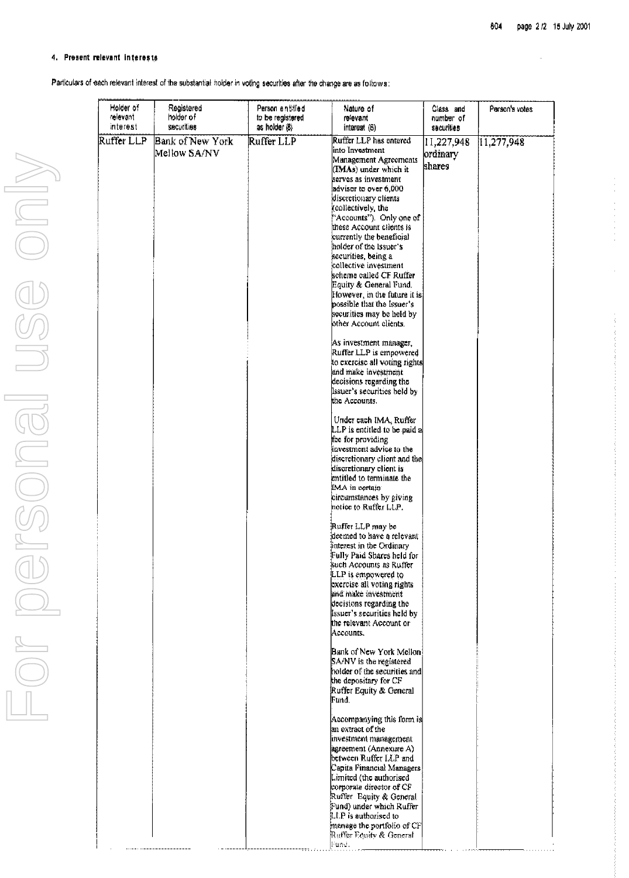#### 4. Present relevant interests

Particulars of each relevant interest of the substantial holder in voting securities after the change are as fottows:

| Holder of<br>relevant<br>interest | Registered<br>holder of<br>securities   | Person entitled<br>to be registered<br>as holder (8) | Nature of<br>relevant<br>interest (6)                                                                                                                                                                                                                                                                                                                                                                                                                                                                                                                                                                                                                                                                         | Class and<br>number of<br>sacurities | Person's votes |
|-----------------------------------|-----------------------------------------|------------------------------------------------------|---------------------------------------------------------------------------------------------------------------------------------------------------------------------------------------------------------------------------------------------------------------------------------------------------------------------------------------------------------------------------------------------------------------------------------------------------------------------------------------------------------------------------------------------------------------------------------------------------------------------------------------------------------------------------------------------------------------|--------------------------------------|----------------|
| Ruffer LLP                        | <b>Bank of New York</b><br>Meliow SA/NV | Ruffer LLP                                           | Ruffer LLP has entered<br>linto Investment<br>Management Agreements<br>(IMAs) under which it<br>serves as investment<br>advisor to over 6,000<br>discretionary clients<br>(collectively, the<br>"Accounts"). Only one of<br>these Account clients is<br>currently the beneficial<br>holder of the Issuer's<br>securities, being a<br>collective investment<br>scheme called CF Ruffer.<br>Equity & General Fund.<br>However, in the future it is!<br>possible that the Issuer's<br>securities may be held by<br>other Account clients.<br>As investment manager,<br>Ruffer LLP is empowered<br>to exercise all voting rights<br>and make investment<br>decisions regarding the<br>Issuer's securities held by | 11,227,948<br>ordmary<br>shares      | [11, 277, 948] |
|                                   |                                         |                                                      | the Accounts.<br>Under each IMA, Ruffer<br>LLP is entitled to be paid a<br>fee for providing<br>investment advice to the<br>discretionary client and the<br>discretionary client is<br>entitled to terminate the<br>IMA in oertain<br>circumstances by giving<br>notice to Ruffer LLP.                                                                                                                                                                                                                                                                                                                                                                                                                        |                                      |                |
|                                   |                                         |                                                      | Ruffer LLP may be<br>deemed to have a relevant<br>interest in the Ordinary<br>Fully Paid Shares held for<br>such Accounts as Ruffer<br>LLP is empowered to<br>exercise all voting rights<br>and make investment<br>decisions regarding the<br>issuer's securities held by<br>the relevant Account or<br>Accounts.                                                                                                                                                                                                                                                                                                                                                                                             |                                      |                |
|                                   |                                         |                                                      | Bank of New York Mellon!<br>SA/NV is the registered<br>holder of the securities and<br>the depositary for CF<br>Ruffer Equity & General<br>Fund.                                                                                                                                                                                                                                                                                                                                                                                                                                                                                                                                                              |                                      |                |
|                                   |                                         |                                                      | Accompanying this form is<br>an extract of the<br>investment management<br>agreement (Annexure A)<br>between Ruffer LLP and<br>Capita Financial Managers!<br>Limited (the authorised<br>corporate director of CF                                                                                                                                                                                                                                                                                                                                                                                                                                                                                              |                                      |                |
|                                   |                                         |                                                      | Ruffer Equity & General<br>Fund) under which Ruffer<br>LLP is authorised to<br>manage the portfolio of CF<br>Ruffer Equity & General<br>Fund.                                                                                                                                                                                                                                                                                                                                                                                                                                                                                                                                                                 |                                      |                |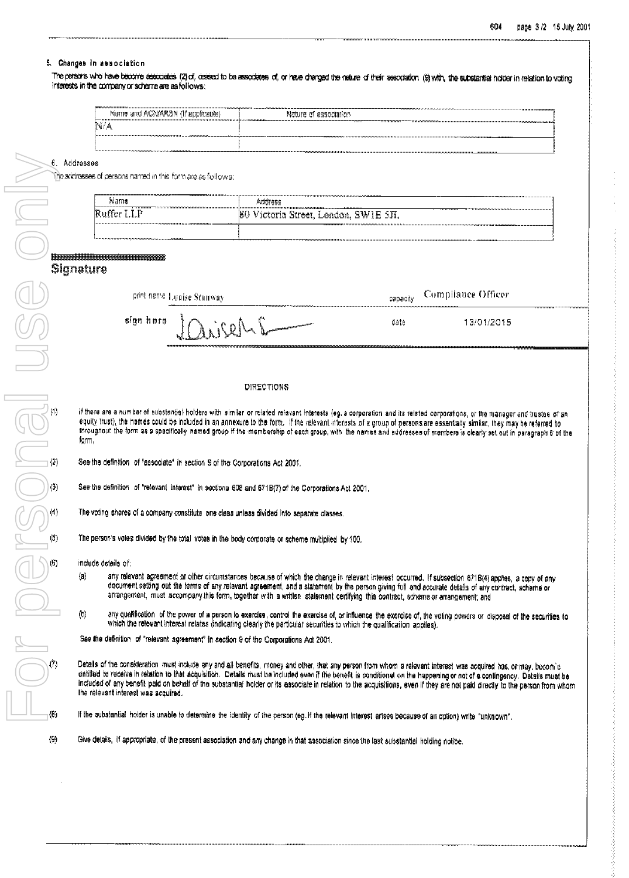### 5. Changes in association

The persons who have become associates (2) of, cassed to be associates of, or have changed the nature of their association (9) with, the substantial holder in relation to voting interests in the company or scheme are as follows:

| PRODUCTION/RESOURCES \$111                                                               | <b>CONTRACTOR COMMUNICATION CONTRACTOR AND A ARRAIGNMENT</b>                                                                                                                                                                   |
|------------------------------------------------------------------------------------------|--------------------------------------------------------------------------------------------------------------------------------------------------------------------------------------------------------------------------------|
| Name and ACNIARSN (if applicable)                                                        | 10211-10221-1112022<br>Nature of association                                                                                                                                                                                   |
| N/A                                                                                      |                                                                                                                                                                                                                                |
| A PROPINSI MAGAZINA MAGAZINA APERENTERA E ESPECIAL COLORIZADA DE MAGAZINA A MAGAZINA COM | THE THE CONSTITUTION OF CONSTITUTION OF THE PRESS OF A STATE AND A CONSTITUTION OF A CHARGE OF A CHARGE OF A CHARGE OF A CHARGE OF A CHARGE OF A CHARGE OF A CHARGE OF A CHARGE OF A CHARGE OF A CHARGE OF A CHARGE OF A CHARG |

#### 6. Addresses

The acchesses of persons named in this form are as follows:

| ---------------------------------<br><b>COMMITMENT AND INTERNATIONAL</b><br>Name<br>TI FI FI FI FI MONOMONAGAAAAAAAAAAA | ___<br>Address                                                                                                                                           |
|-------------------------------------------------------------------------------------------------------------------------|----------------------------------------------------------------------------------------------------------------------------------------------------------|
| - - - - - - - - -<br><b>BREEZELED HOLD</b><br>i Pilipin<br>Þ<br><br>-<br><b>TIME</b><br><b>Allen Britt</b>              | <b>INTERFERING MANAGEMA AREA A A A A A A A A A A A A A</b><br>ВC<br>---<br>SWIE.<br>ctoria<br>Street.<br>London.<br>- 311<br>1949 L. L. C. L<br>- 11 - 1 |
|                                                                                                                         |                                                                                                                                                          |

| print name Louise Stanway                             |      | espacity Compliance Officer |
|-------------------------------------------------------|------|-----------------------------|
| $\frac{1}{2}$ ign here $\frac{1}{2}$<br>$\frac{1}{2}$ | date | 13/01/2015                  |
|                                                       |      |                             |

#### **DIRECTIONS**

if there are a number of substantial holdere with similar or related relavant interests (eg. a corporation and its related corporations, or the manager and trustee of an equity trust), the hames could be included in an annexure to the form. If the relevant interests of a group of persons are essentially similar, they may be referred to throughout the form as a specifically named group if the membership of each group, with the names and eddresses of members is clearly set out in paragraph 6 of the form.

See the definition of "associate" in section 9 of the Corporations Act 2001.

See the definition of "relevant interest" in sections 608 and 671B(7) of the Corporations Act 2001.

The voting shares of a company constitute one class unless divided into separate classes.

The person's votes divided by the total votes in the body corporate or scheme multiplied by 100.

include details of:

- any relevant agreement or other circumstances because of which the change in relevant interest occurred. If subsection 671B(4) applies, a copy of any  $\langle n \rangle$ document setting out the terms of any relevant agreement, and a statement by the person giving full and accurate details of any contract, scheme or arrangement, must accompany this form, together with a written statement certifying this contract, scheme or arrangement; and
- $\langle 0 \rangle$ any qualification of the power of a person to exercise, control the exercise of, or influence the exercise of, the voting powers or disposal of the securities to which the relevant interest relates (indicating clearly the particular securities to which the qualification applies).

See the definition of "relevant agreement" in section 9 of the Corporations Act 2001.

Details of the consideration must include any and all benefits, money and other, that any person-from whom a relevant interest was acquired has, or may, becom'e entitled to receive in relation to that acquisition. Details must be included even if the benefit is conditional on the happening or not of a contingency. Details must be included of any benefit paid on behalf of the substantial holder or its associate in relation to the acquisitions, even if they are not paid directly to the person from whom the relevant interest was acquired.

If the substantial holder is unable to determine the identity of the person (eg. if the relevant interest arises because of an option) write "unknown".

Give details, if appropriate, of the present association and any change in that association since the last substantial holding notice.

 $\langle \Theta \rangle$